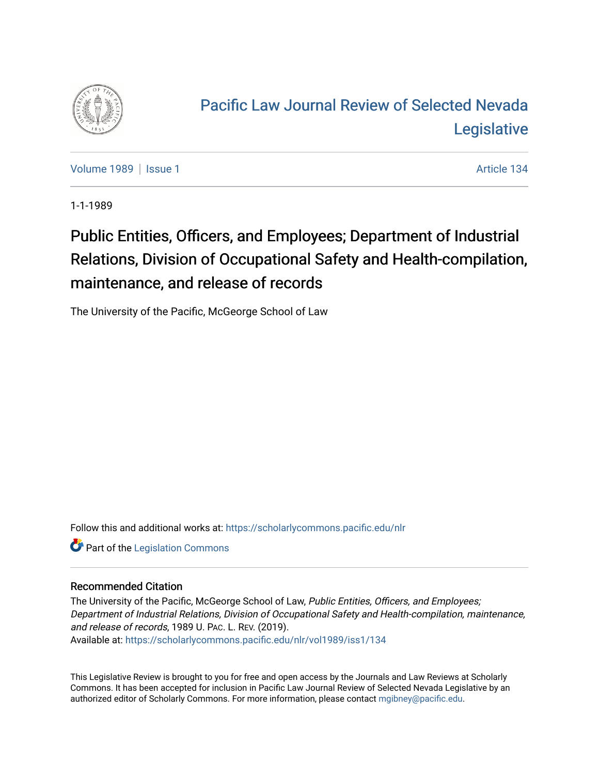

## [Pacific Law Journal Review of Selected Nevada](https://scholarlycommons.pacific.edu/nlr)  **Legislative**

[Volume 1989](https://scholarlycommons.pacific.edu/nlr/vol1989) | [Issue 1](https://scholarlycommons.pacific.edu/nlr/vol1989/iss1) Article 134

1-1-1989

## Public Entities, Officers, and Employees; Department of Industrial Relations, Division of Occupational Safety and Health-compilation, maintenance, and release of records

The University of the Pacific, McGeorge School of Law

Follow this and additional works at: [https://scholarlycommons.pacific.edu/nlr](https://scholarlycommons.pacific.edu/nlr?utm_source=scholarlycommons.pacific.edu%2Fnlr%2Fvol1989%2Fiss1%2F134&utm_medium=PDF&utm_campaign=PDFCoverPages) 

**Part of the [Legislation Commons](http://network.bepress.com/hgg/discipline/859?utm_source=scholarlycommons.pacific.edu%2Fnlr%2Fvol1989%2Fiss1%2F134&utm_medium=PDF&utm_campaign=PDFCoverPages)** 

## Recommended Citation

The University of the Pacific, McGeorge School of Law, Public Entities, Officers, and Employees; Department of Industrial Relations, Division of Occupational Safety and Health-compilation, maintenance, and release of records, 1989 U. PAC. L. REV. (2019). Available at: [https://scholarlycommons.pacific.edu/nlr/vol1989/iss1/134](https://scholarlycommons.pacific.edu/nlr/vol1989/iss1/134?utm_source=scholarlycommons.pacific.edu%2Fnlr%2Fvol1989%2Fiss1%2F134&utm_medium=PDF&utm_campaign=PDFCoverPages) 

This Legislative Review is brought to you for free and open access by the Journals and Law Reviews at Scholarly Commons. It has been accepted for inclusion in Pacific Law Journal Review of Selected Nevada Legislative by an authorized editor of Scholarly Commons. For more information, please contact [mgibney@pacific.edu](mailto:mgibney@pacific.edu).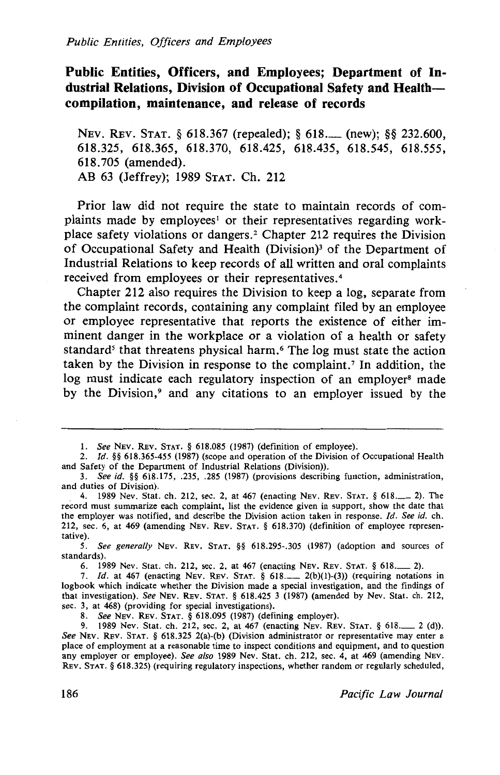## **Public Entities, Officers, and Employees; Department of Industrial Relations, Division of Occupational Safety and Healthcompilation, maintenance, and release of records**

NEv. REv. STAT. § 618.367 (repealed); § 618.\_ (new); §§ 232.600, 618.325, 618.365, 618.370, 618.425, 618.435, 618.545, 618.555, 618.705 (amended). AB 63 (Jeffrey); 1989 STAT. Ch. 212

Prior law did not require the state to maintain records of complaints made by employees' or their representatives regarding workplace safety violations or dangers. 2 Chapter 212 requires the Division of Occupational Safety and Health (Division)<sup>3</sup> of the Department of Industrial Relations to keep records of all written and oral complaints received from employees or their representatives. <sup>4</sup>

Chapter 212 also requires the Division to keep a log, separate from the complaint records, containing any complaint filed by an employee or employee representative that reports the existence of either imminent danger in the workplace or a violation of a health or safety standard<sup>5</sup> that threatens physical harm.<sup>6</sup> The log must state the action taken by the Division in response to the complaint,? In addition, the log must indicate each regulatory inspection of an employer<sup>8</sup> made by the Division,<sup>9</sup> and any citations to an employer issued by the

*5. See generally* NEv. REv. STAT. §§ 618.295-.305 (1987) (adoption and sources of standards).

6. 1989 Nev. Stat. ch. 212, sec. 2, at 467 (enacting NEv. REv. STAT. § 618.\_ 2).

7. *Id.* at 467 (enacting NEV. REV. STAT. § 618... 2(b)(1)-(3)) (requiring notations in logbook which indicate whether the Division made a special investigation, and the findings of that investigation). *See* NEV. REv. STAT. § 618.425 3 (1987) (amended by Nev. Stat. ch. 212, sec. 3, at 468) (providing for special investigations).

8. *See* NEV. REv. STAT. § 618.095 (1987) (defining employer).

9. 1989 Nev. Stat. ch. 212, sec. 2, at 467 (enacting NEv. REv. STAT. § 618.\_ 2 (d)). *See* NEv. REv. STAT. § 618.325 2(a)-(b) (Division administrator or representative may enter a place of employment at a reasonable time to inspect conditions and equipment, and to question any employer or employee). *See also* 1989 Nev. Stat. ch. 212, sec. 4, at 469 (amending NEv. REv. STAT. § 618.325) (requiring regulatory inspections, whether random or regularly scheduled,

<sup>1.</sup> *See* NEv. REv. STAT. § 618.085 (1987) (definition of employee).

<sup>2.</sup> *Id.* §§ 618.365-455 (1987) (scope and operation of the Division of Occupational Health and Safety of the Department of Industrial Relations (Division)).

<sup>3.</sup> *See id.* §§ 618.175, .235, .285 (1987) (provisions describing function, administration, and duties of Division).

<sup>. 4. 1989</sup> Nev. Stat. ch. 212, sec. 2, at 467 (enacting NEv. REv. STAT. § 618.\_ 2). The record must summarize each complaint, list the evidence given in support, show the date that the employer was notified, and describe the Division action taken in response. */d. See id.* ch. 212, sec. 6, at 469 (amending NEV. REv. STAT. § 618.370) (definition of employee representative).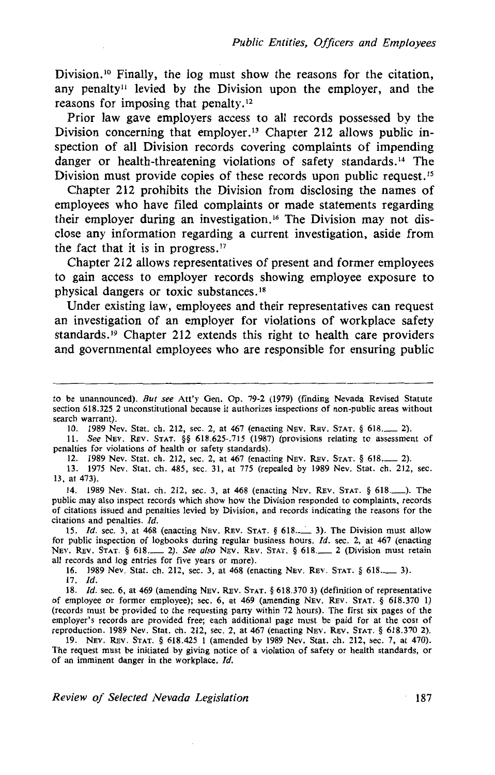Division.<sup>10</sup> Finally, the log must show the reasons for the citation, any penalty<sup>11</sup> levied by the Division upon the employer, and the reasons for imposing that penalty. $12$ 

Prior law gave employers access to all records possessed by the Division concerning that employer.<sup>13</sup> Chapter 212 allows public inspection of all Division records covering complaints of impending danger or health-threatening violations of safety standards. 14 The Division must provide copies of these records upon public request.<sup>15</sup>

Chapter 212 prohibits the Division from disclosing the names of employees who have filed complaints or made statements regarding their employer during an investigation. 16 The Division may not disclose any information regarding a current investigation, aside from the fact that it is in progress.<sup>17</sup>

Chapter 212 allows representatives of present and former employees to gain access to employer records showing employee exposure to physical dangers or toxic substances. <sup>18</sup>

Under existing law, employees and their representatives can request an investigation of an employer for violations of workplace safety standards. 19 Chapter 212 extends this right to health care providers and governmental employees who are responsible for ensuring public

10. 1989 Nev. Stat. ch. 212, sec. 2, at 467 (enacting NEv. REv. STAT. § 618.\_ 2).

11. *See* NEV. REv. STAT. §§ 618.625-.715 (1987) (provisions relating to assessment of penalties for violations of health or safety standards).

12. 1989 Nev. Stat. ch. 212, sec. 2, at 467 (enacting NEv. REv. STAT. § 618.\_ 2).

13. 1975 Nev. Stat. ch. 485, sec. 31, at 775 (repealed by 1989 Nev. Stat. ch. 212, sec. 13, at 473).

14. 1989 Nev. Stat. ch. 212, sec. 3, at 468 (enacting NEv. REv. STAT. § 618.\_), The public may also inspect records which show how the Division responded to complaints, records of citations issued and penalties levied by Division, and records indicating the reasons for the citations and penalties. Id.

15. *Id.* sec. 3, at 468 (enacting NEV. REV. STAT. § 618....... 3). The Division must allow for public inspection of logbooks during regular business hours. */d.* sec. 2, at 467 (enacting NEV. REv. STAT. § 618.\_ 2). *See also* NEV. REv. STAT. § 618.\_ 2 (Division must retain all records and log entries for five years or more).

16. 1989 Nev. Stat. ch. 212, sec. 3, at 468 (enacting NEv. REv. STAT. § 618,\_ 3).

17. Id.

18. *Id.* sec. 6, at 469 (amending NEV. REV. STAT. § 618.370 3) (definition of representative of employee or former employee); sec. 6, at 469 (amending NEv. REv. STAT. § 618.370 1) (records must be provided to the requesting party within 72 hours). The first six pages of the employer's records are provided free; each additional page must be paid for at the cost of reproduction. 1989 Nev. Stat. ch. 212, sec. 2, at 467 (enacting NEv. REv. STAT. § 618.370 2).

19. NEv. REv. STAT. § 618.425 I (amended by 1989 Nev. Stat. ch. 212, sec. 7, at 470). The request must be initiated by giving notice of a violation of safety or health standards, or of an imminent danger in the workplace. Id.

*Review of Selected Nevada Legislation* 187

to be unannounced). *But see* Att'y Gen. Op. 79-2 (1979) (finding Nevada Revised Statute section 618.325 2 unconstitutional because it authorizes inspections of non-public areas without search warrant).